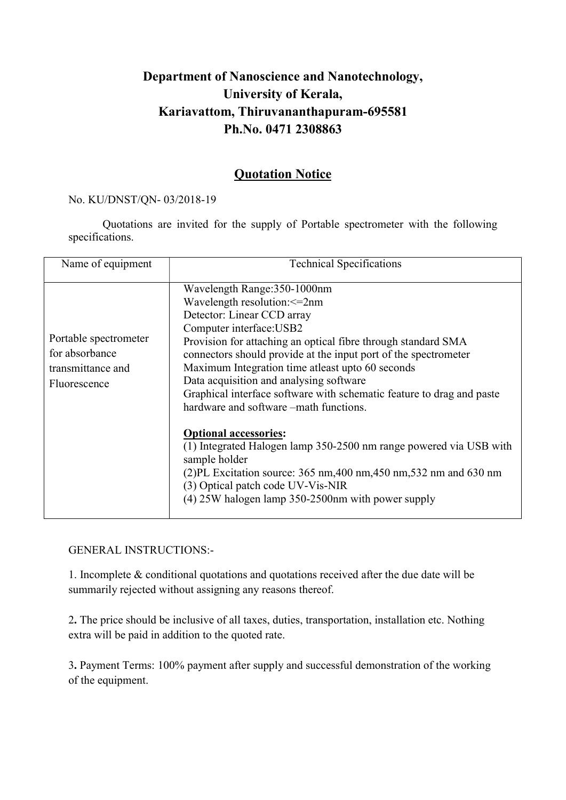## Department of Nanoscience and Nanotechnology, University of Kerala, Kariavattom, Thiruvananthapuram-695581 Ph.No. 0471 2308863

## Quotation Notice

## No. KU/DNST/QN- 03/2018-19

Quotations are invited for the supply of Portable spectrometer with the following specifications.

| Name of equipment                                                            | <b>Technical Specifications</b>                                                                                                                                                                                                                                                                                                                                                                                                                                                                                                                                                                                                                                                                                                                                        |
|------------------------------------------------------------------------------|------------------------------------------------------------------------------------------------------------------------------------------------------------------------------------------------------------------------------------------------------------------------------------------------------------------------------------------------------------------------------------------------------------------------------------------------------------------------------------------------------------------------------------------------------------------------------------------------------------------------------------------------------------------------------------------------------------------------------------------------------------------------|
| Portable spectrometer<br>for absorbance<br>transmittance and<br>Fluorescence | Wavelength Range:350-1000nm<br>Wavelength resolution: <= 2nm<br>Detector: Linear CCD array<br>Computer interface: USB2<br>Provision for attaching an optical fibre through standard SMA<br>connectors should provide at the input port of the spectrometer<br>Maximum Integration time atleast upto 60 seconds<br>Data acquisition and analysing software<br>Graphical interface software with schematic feature to drag and paste<br>hardware and software –math functions.<br><b>Optional accessories:</b><br>(1) Integrated Halogen lamp 350-2500 nm range powered via USB with<br>sample holder<br>$(2)$ PL Excitation source: 365 nm, 400 nm, 450 nm, 532 nm and 630 nm<br>(3) Optical patch code UV-Vis-NIR<br>(4) 25W halogen lamp 350-2500nm with power supply |

## GENERAL INSTRUCTIONS:-

1. Incomplete & conditional quotations and quotations received after the due date will be summarily rejected without assigning any reasons thereof.

2. The price should be inclusive of all taxes, duties, transportation, installation etc. Nothing extra will be paid in addition to the quoted rate.

3. Payment Terms: 100% payment after supply and successful demonstration of the working of the equipment.